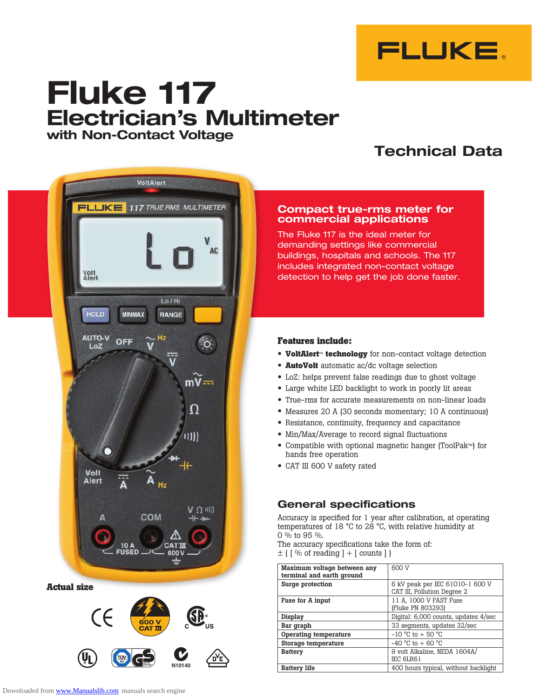

# **Fluke 117 Electrician's Multimeter with Non-Contact Voltage**

## **Technical Data**



**Actual size**



### **Compact true-rms meter for commercial applications**

The Fluke 117 is the ideal meter for demanding settings like commercial buildings, hospitals and schools. The 117 includes integrated non-contact voltage detection to help get the job done faster.

### **Features include:**

- **VoltAlert**™ **technology** for non-contact voltage detection
- **AutoVolt** automatic ac/dc voltage selection
- • LoZ: helps prevent false readings due to ghost voltage
- Large white LED backlight to work in poorly lit areas
- True-rms for accurate measurements on non-linear loads
- • Measures <sup>20</sup> <sup>A</sup> (30 seconds momentary; <sup>10</sup> <sup>A</sup> continuous)
- Resistance, continuity, frequency and capacitance
- Min/Max/Average to record signal fluctuations
- • Compatible with optional magnetic hanger (ToolPak™) for hands free operation
- • CAT III <sup>600</sup> <sup>V</sup> safety rated

### **General specifications**

Accuracy is specified for 1 year after calibration, at operating temperatures of 18 °C to 28 °C, with relative humidity at 0 % to 95 %.

The accuracy specifications take the form of:  $\pm$  ( [ % of reading ] + [ counts ] )

|                                                    | Maximum voltage between any<br>terminal and earth ground | 600 V                                                          |
|----------------------------------------------------|----------------------------------------------------------|----------------------------------------------------------------|
| ze                                                 | Surge protection                                         | 6 kV peak per IEC 61010-1 600 V<br>CAT III, Pollution Degree 2 |
| CE<br>600V<br>'us<br><b>CAT III</b>                | Fuse for A input                                         | 11 A, 1000 V FAST Fuse<br>(Fluke PN 803293)                    |
|                                                    | Display                                                  | Digital: 6,000 counts, updates 4/sec                           |
|                                                    | Bar graph                                                | 33 segments, updates 32/sec                                    |
|                                                    | Operating temperature                                    | $-10$ °C to $+50$ °C                                           |
|                                                    | Storage temperature                                      | $-40$ °C to $+60$ °C                                           |
| $\mathbf{j}_\mathbf{l}$<br>E GS<br>DY <sup>E</sup> | <b>Battery</b>                                           | 9 volt Alkaline, NEDA 1604A/<br>IEC 6LR61                      |
| N10140                                             | <b>Battery life</b>                                      | 400 hours typical, without backlight                           |
|                                                    |                                                          |                                                                |